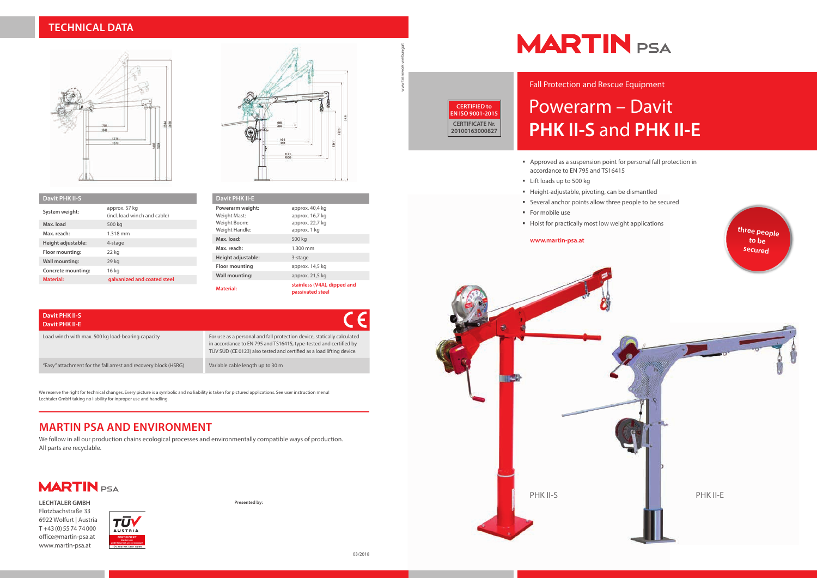# Powerarm – Davit **PHK II-S** and **PHK II-E**

- Approved as a suspension point for personal fall protection in accordance to EN 795 and TS16415
- **E** Lift loads up to 500 kg
- Height-adjustable, pivoting, can be dismantled
- Several anchor points allow three people to be secured
- For mobile use
- Hoist for practically most low weight applications

Fall Protection and Rescue Equipment



#### **www.martin-psa.at**

## **TECHNICAL DATA**



| <b>Davit PHK II-E</b>                                              |                                                                       |
|--------------------------------------------------------------------|-----------------------------------------------------------------------|
| Powerarm weight:<br>Weight Mast:<br>Weight Boom:<br>Weight Handle: | approx. 40,4 kg<br>approx. 16,7 kg<br>approx. 22,7 kg<br>approx. 1 kg |
| Max. load:                                                         | 500 kg                                                                |
| Max. reach:                                                        | 1.300 mm                                                              |
| Height adjustable:                                                 | 3-stage                                                               |
| Floor mounting                                                     | approx. 14,5 kg                                                       |
| <b>Wall mounting:</b>                                              | approx. 21,5 kg                                                       |
| Material:                                                          | stainless (V4A), dipped and<br>passivated steel                       |

| <b>Davit PHK II-S</b> |                                               |
|-----------------------|-----------------------------------------------|
| System weight:        | approx. 57 kg<br>(incl. load winch and cable) |
| Max. load             | 500 kg                                        |
| Max. reach:           | 1.318 mm                                      |
| Height adjustable:    | 4-stage                                       |
| Floor mounting:       | 22 kg                                         |
| <b>Wall mounting:</b> | 29 kg                                         |
| Concrete mounting:    | 16 kg                                         |
| Material:             | galvanized and coated steel                   |



## **MARTIN PSA AND ENVIRONMENT**

We follow in all our production chains ecological processes and environmentally compatible ways of production. All parts are recyclable.

**MARTIN** PSA

#### **Davit PHK II-S Davit PHK II-E**

Load winch with max. 500 kg load-bearing capacity For use as a personal and fall protection device, statically calculated

in accordance to EN 795 and TS16415, type-tested and certified by TÜV SÜD (CE 0123) also tested and certified as a load lifting device.

"Easy" attachment for the fall arrest and recovery block (HSRG) Variable cable length up to 30 m

We reserve the right for technical changes. Every picture is a symbolic and no liability is taken for pictured applications. See user instruction menu! Lechtaler GmbH taking no liability for inproper use and handling.

**Presented by:**

# **MARTIN** PSA

www.teamwork-werbung.at



**LECHTALER GMBH** Flotzbachstraße 33 6922 Wolfurt | Austria T +43 (0) 55 74 74 000 office@martin-psa.at www.martin-psa.at





**CERTIFIED to EN ISO 9001-2015 CERTIFICATE Nr. 20100163000827**